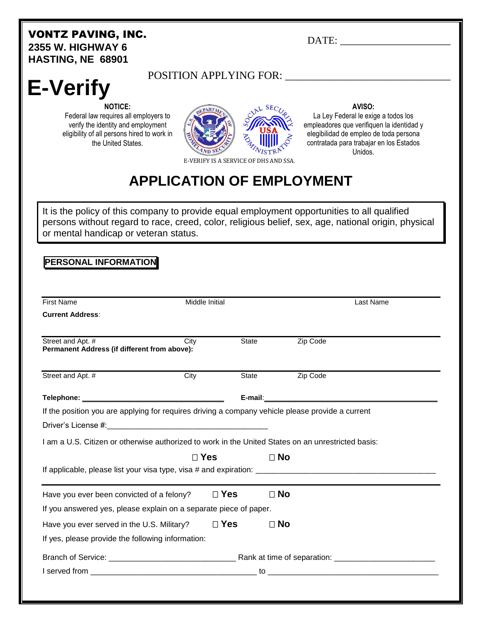#### VONTZ PAVING, INC. **2355 W. HIGHWAY 6 HASTING, NE 68901**

DATE:

# **E-Verify**

### POSITION APPLYING FOR: \_\_\_\_\_\_\_\_\_\_\_\_\_\_\_\_\_\_\_\_\_\_\_\_\_\_\_\_\_\_

**NOTICE:** Federal law requires all employers to verify the identity and employment eligibility of all persons hired to work in the United States.



#### **AVISO:**

La Ley Federal le exige a todos los empleadores que verifiquen la identidad y elegibilidad de empleo de toda persona contratada para trabajar en los Estados Unidos.

E-VERIFY IS A SERVICE OF DHS AND SSA.

## **APPLICATION OF EMPLOYMENT**

It is the policy of this company to provide equal employment opportunities to all qualified persons without regard to race, creed, color, religious belief, sex, age, national origin, physical or mental handicap or veteran status.

#### **PERSONAL INFORMATION**

| <b>First Name</b>                                                                                  | Middle Initial |            |           | Last Name |  |
|----------------------------------------------------------------------------------------------------|----------------|------------|-----------|-----------|--|
| <b>Current Address:</b>                                                                            |                |            |           |           |  |
| Street and Apt. #<br>Permanent Address (if different from above):                                  | City           | State      |           | Zip Code  |  |
| Street and Apt. #                                                                                  | City           | State      |           | Zip Code  |  |
|                                                                                                    |                |            |           |           |  |
| If the position you are applying for requires driving a company vehicle please provide a current   |                |            |           |           |  |
|                                                                                                    |                |            |           |           |  |
|                                                                                                    |                |            |           |           |  |
| I am a U.S. Citizen or otherwise authorized to work in the United States on an unrestricted basis: |                |            |           |           |  |
|                                                                                                    |                |            |           |           |  |
|                                                                                                    | $\Box$ Yes     |            | $\Box$ No |           |  |
| Have you ever been convicted of a felony?                                                          |                | $\Box$ Yes | $\Box$ No |           |  |
| If you answered yes, please explain on a separate piece of paper.                                  |                |            |           |           |  |
| Have you ever served in the U.S. Military?                                                         |                | $\Box$ Yes | $\Box$ No |           |  |
| If yes, please provide the following information:                                                  |                |            |           |           |  |
|                                                                                                    |                |            |           |           |  |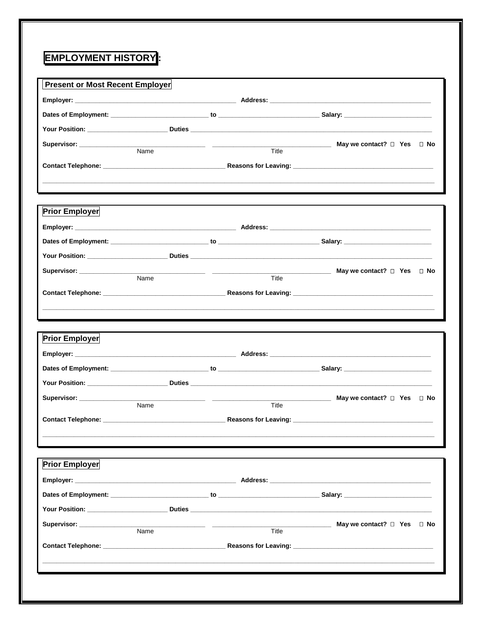### **EMPLOYMENT HISTORY:**

|                                    |                                                          |       | Your Position: ________________________Duties ___________________________________                                                                                                                                                                                                                                                                                                                                                                                                                                                       |
|------------------------------------|----------------------------------------------------------|-------|-----------------------------------------------------------------------------------------------------------------------------------------------------------------------------------------------------------------------------------------------------------------------------------------------------------------------------------------------------------------------------------------------------------------------------------------------------------------------------------------------------------------------------------------|
| Supervisor: _________________      |                                                          |       | May we contact? $\Box$ Yes $\Box$ No<br>$\begin{tabular}{c} \multicolumn{2}{c} {\textbf{1}} & \multicolumn{2}{c} {\textbf{1}} & \multicolumn{2}{c} {\textbf{1}} \\ \multicolumn{2}{c} {\textbf{2}} & \multicolumn{2}{c} {\textbf{3}} & \multicolumn{2}{c} {\textbf{4}} \\ \multicolumn{2}{c} {\textbf{4}} & \multicolumn{2}{c} {\textbf{5}} & \multicolumn{2}{c} {\textbf{6}} \\ \multicolumn{2}{c} {\textbf{5}} & \multicolumn{2}{c} {\textbf{6}} & \multicolumn{2}{c} {\textbf{6}} \\ \multicolumn{2}{c} {\textbf{5}} & \multicolumn$ |
|                                    | Name                                                     | Title |                                                                                                                                                                                                                                                                                                                                                                                                                                                                                                                                         |
|                                    |                                                          |       | ,我们也不能在这里的时候,我们也不能在这里的时候,我们也不能会在这里的时候,我们也不能会在这里的时候,我们也不能会在这里的时候,我们也不能会在这里的时候,我们也不                                                                                                                                                                                                                                                                                                                                                                                                                                                       |
| <b>Prior Employer</b>              |                                                          |       | ,我们也不会有一个人的事情。""我们的人们,我们也不会有一个人的人,我们也不会有一个人的人,我们也不会有一个人的人,我们也不会有一个人的人,我们也不会有一个人的<br>第一百一章 一个人的人,我们的人们的人们,我们的人们的人们,我们的人们的人们,我们的人们的人们,我们的人们的人们,我们的人们的人们,我们的人们的人们,我们的人们                                                                                                                                                                                                                                                                                                                                                                    |
|                                    |                                                          |       |                                                                                                                                                                                                                                                                                                                                                                                                                                                                                                                                         |
|                                    |                                                          |       |                                                                                                                                                                                                                                                                                                                                                                                                                                                                                                                                         |
|                                    |                                                          |       |                                                                                                                                                                                                                                                                                                                                                                                                                                                                                                                                         |
| Supervisor: _________________      | <u> 1989 - Johann Harrison, fransk politik (d. 1989)</u> |       | <b>May we contact?</b> □ Yes □ No                                                                                                                                                                                                                                                                                                                                                                                                                                                                                                       |
|                                    | Name                                                     | Title |                                                                                                                                                                                                                                                                                                                                                                                                                                                                                                                                         |
|                                    |                                                          |       |                                                                                                                                                                                                                                                                                                                                                                                                                                                                                                                                         |
|                                    |                                                          |       |                                                                                                                                                                                                                                                                                                                                                                                                                                                                                                                                         |
| <b>Prior Employer</b>              |                                                          |       |                                                                                                                                                                                                                                                                                                                                                                                                                                                                                                                                         |
|                                    |                                                          |       | May we contact? $\Box$ Yes $\Box$ No                                                                                                                                                                                                                                                                                                                                                                                                                                                                                                    |
| Supervisor: <u>_______________</u> | Name                                                     | Title |                                                                                                                                                                                                                                                                                                                                                                                                                                                                                                                                         |
| <b>Prior Employer</b>              |                                                          |       |                                                                                                                                                                                                                                                                                                                                                                                                                                                                                                                                         |
|                                    |                                                          |       |                                                                                                                                                                                                                                                                                                                                                                                                                                                                                                                                         |
|                                    |                                                          |       |                                                                                                                                                                                                                                                                                                                                                                                                                                                                                                                                         |
|                                    |                                                          |       |                                                                                                                                                                                                                                                                                                                                                                                                                                                                                                                                         |
|                                    |                                                          |       | May we contact? □ Yes □ No                                                                                                                                                                                                                                                                                                                                                                                                                                                                                                              |
|                                    | $\overline{\mathsf{Name}}$                               | Title |                                                                                                                                                                                                                                                                                                                                                                                                                                                                                                                                         |